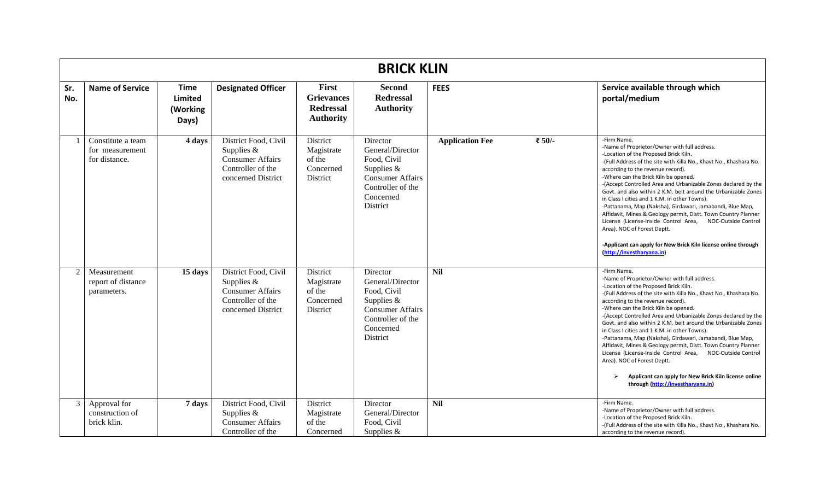|                | <b>BRICK KLIN</b>                                     |                                                    |                                                                                                            |                                                                    |                                                                                                                                      |                        |        |                                                                                                                                                                                                                                                                                                                                                                                                                                                                                                                                                                                                                                                                                                                                                                           |  |  |  |
|----------------|-------------------------------------------------------|----------------------------------------------------|------------------------------------------------------------------------------------------------------------|--------------------------------------------------------------------|--------------------------------------------------------------------------------------------------------------------------------------|------------------------|--------|---------------------------------------------------------------------------------------------------------------------------------------------------------------------------------------------------------------------------------------------------------------------------------------------------------------------------------------------------------------------------------------------------------------------------------------------------------------------------------------------------------------------------------------------------------------------------------------------------------------------------------------------------------------------------------------------------------------------------------------------------------------------------|--|--|--|
| Sr.<br>No.     | <b>Name of Service</b>                                | <b>Time</b><br><b>Limited</b><br>(Working<br>Days) | <b>Designated Officer</b>                                                                                  | First<br><b>Grievances</b><br><b>Redressal</b><br><b>Authority</b> | <b>Second</b><br><b>Redressal</b><br><b>Authority</b>                                                                                | <b>FEES</b>            |        | Service available through which<br>portal/medium                                                                                                                                                                                                                                                                                                                                                                                                                                                                                                                                                                                                                                                                                                                          |  |  |  |
|                | Constitute a team<br>for measurement<br>for distance. | 4 days                                             | District Food, Civil<br>Supplies $&$<br><b>Consumer Affairs</b><br>Controller of the<br>concerned District | District<br>Magistrate<br>of the<br>Concerned<br>District          | Director<br>General/Director<br>Food, Civil<br>Supplies $&$<br><b>Consumer Affairs</b><br>Controller of the<br>Concerned<br>District | <b>Application Fee</b> | ₹ 50/- | -Firm Name.<br>-Name of Proprietor/Owner with full address.<br>-Location of the Proposed Brick Kiln.<br>-(Full Address of the site with Killa No., Khavt No., Khashara No.<br>according to the revenue record).<br>-Where can the Brick Kiln be opened.<br>-(Accept Controlled Area and Urbanizable Zones declared by the<br>Govt. and also within 2 K.M. belt around the Urbanizable Zones<br>in Class I cities and 1 K.M. in other Towns).<br>-Pattanama, Map (Naksha), Girdawari, Jamabandi, Blue Map,<br>Affidavit, Mines & Geology permit, Distt. Town Country Planner<br>License (License-Inside Control Area,<br>NOC-Outside Control<br>Area). NOC of Forest Deptt.<br>-Applicant can apply for New Brick Kiln license online through<br>(http://investharyana.in) |  |  |  |
| $\mathfrak{D}$ | Measurement<br>report of distance<br>parameters.      | 15 days                                            | District Food, Civil<br>Supplies &<br><b>Consumer Affairs</b><br>Controller of the<br>concerned District   | <b>District</b><br>Magistrate<br>of the<br>Concerned<br>District   | Director<br>General/Director<br>Food, Civil<br>Supplies $&$<br><b>Consumer Affairs</b><br>Controller of the<br>Concerned<br>District | <b>Nil</b>             |        | -Firm Name.<br>-Name of Proprietor/Owner with full address.<br>-Location of the Proposed Brick Kiln.<br>-(Full Address of the site with Killa No., Khavt No., Khashara No.<br>according to the revenue record).<br>-Where can the Brick Kiln be opened.<br>-(Accept Controlled Area and Urbanizable Zones declared by the<br>Govt. and also within 2 K.M. belt around the Urbanizable Zones<br>in Class I cities and 1 K.M. in other Towns).<br>-Pattanama, Map (Naksha), Girdawari, Jamabandi, Blue Map,<br>Affidavit, Mines & Geology permit, Distt. Town Country Planner<br>License (License-Inside Control Area,<br>NOC-Outside Control<br>Area). NOC of Forest Deptt.<br>Applicant can apply for New Brick Kiln license online<br>through (http://investharyana.in)  |  |  |  |
| 3              | Approval for<br>construction of<br>brick klin.        | 7 days                                             | District Food, Civil<br>Supplies $&$<br><b>Consumer Affairs</b><br>Controller of the                       | District<br>Magistrate<br>of the<br>Concerned                      | Director<br>General/Director<br>Food, Civil<br>Supplies $&$                                                                          | <b>Nil</b>             |        | -Firm Name.<br>-Name of Proprietor/Owner with full address.<br>-Location of the Proposed Brick Kiln.<br>-(Full Address of the site with Killa No., Khavt No., Khashara No.<br>according to the revenue record).                                                                                                                                                                                                                                                                                                                                                                                                                                                                                                                                                           |  |  |  |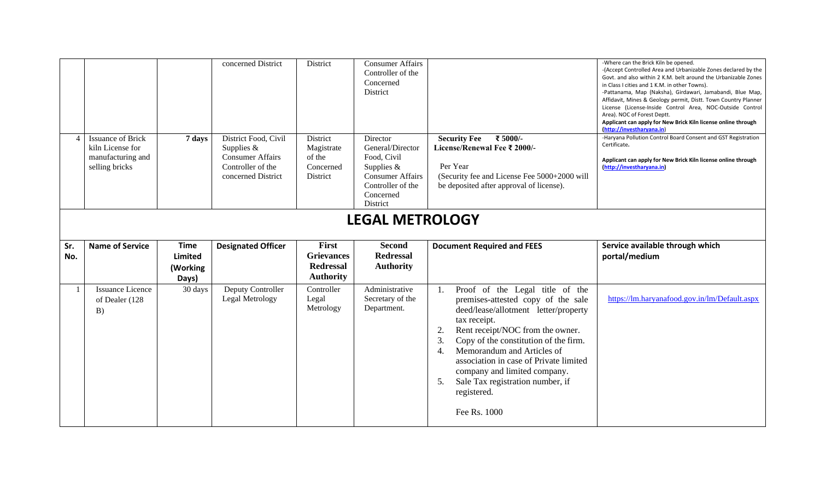|     | <b>Issuance of Brick</b>                                | 7 days                              | concerned District<br>District Food, Civil                                         | District<br>District                                      | <b>Consumer Affairs</b><br>Controller of the<br>Concerned<br>District<br>Director                                      | ₹ 5000/-<br><b>Security Fee</b>                                                                                                      | -Where can the Brick Kiln be opened.<br>-(Accept Controlled Area and Urbanizable Zones declared by the<br>Govt. and also within 2 K.M. belt around the Urbanizable Zones<br>in Class I cities and 1 K.M. in other Towns).<br>-Pattanama, Map (Naksha), Girdawari, Jamabandi, Blue Map,<br>Affidavit, Mines & Geology permit, Distt. Town Country Planner<br>License (License-Inside Control Area, NOC-Outside Control<br>Area). NOC of Forest Deptt.<br>Applicant can apply for New Brick Kiln license online through<br>(http://investharyana.in)<br>-Haryana Pollution Control Board Consent and GST Registration<br>Certificate. |  |  |  |
|-----|---------------------------------------------------------|-------------------------------------|------------------------------------------------------------------------------------|-----------------------------------------------------------|------------------------------------------------------------------------------------------------------------------------|--------------------------------------------------------------------------------------------------------------------------------------|-------------------------------------------------------------------------------------------------------------------------------------------------------------------------------------------------------------------------------------------------------------------------------------------------------------------------------------------------------------------------------------------------------------------------------------------------------------------------------------------------------------------------------------------------------------------------------------------------------------------------------------|--|--|--|
|     | kiln License for<br>manufacturing and<br>selling bricks |                                     | Supplies $&$<br><b>Consumer Affairs</b><br>Controller of the<br>concerned District | Magistrate<br>of the<br>Concerned<br>District             | General/Director<br>Food, Civil<br>Supplies &<br><b>Consumer Affairs</b><br>Controller of the<br>Concerned<br>District | License/Renewal Fee ₹ 2000/-<br>Per Year<br>(Security fee and License Fee 5000+2000 will<br>be deposited after approval of license). | Applicant can apply for New Brick Kiln license online through<br>(http://investharyana.in)                                                                                                                                                                                                                                                                                                                                                                                                                                                                                                                                          |  |  |  |
|     | <b>LEGAL METROLOGY</b>                                  |                                     |                                                                                    |                                                           |                                                                                                                        |                                                                                                                                      |                                                                                                                                                                                                                                                                                                                                                                                                                                                                                                                                                                                                                                     |  |  |  |
| Sr. | <b>Name of Service</b>                                  | <b>Time</b>                         |                                                                                    | First                                                     | <b>Second</b>                                                                                                          | <b>Document Required and FEES</b>                                                                                                    | Service available through which                                                                                                                                                                                                                                                                                                                                                                                                                                                                                                                                                                                                     |  |  |  |
| No. |                                                         | <b>Limited</b><br>(Working<br>Days) | <b>Designated Officer</b>                                                          | <b>Grievances</b><br><b>Redressal</b><br><b>Authority</b> | <b>Redressal</b><br><b>Authority</b>                                                                                   |                                                                                                                                      | portal/medium                                                                                                                                                                                                                                                                                                                                                                                                                                                                                                                                                                                                                       |  |  |  |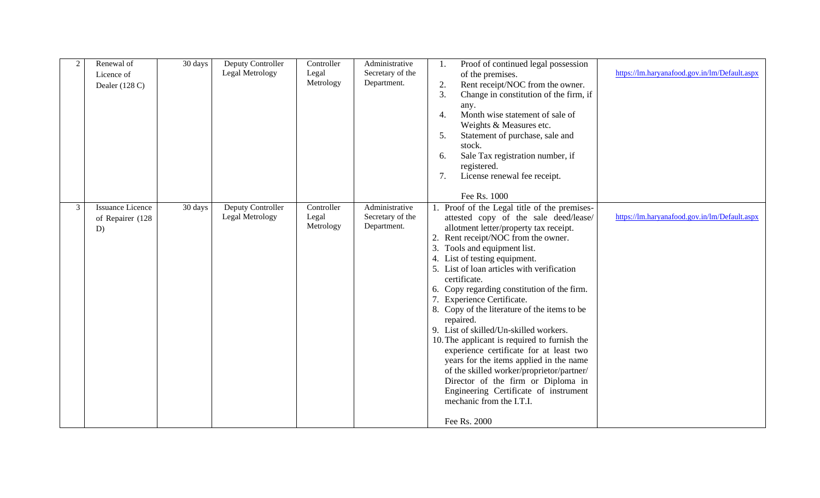| $\overline{2}$ | Renewal of<br>Licence of<br>Dealer (128 C)        | 30 days | Deputy Controller<br>Legal Metrology | Controller<br>Legal<br>Metrology | Administrative<br>Secretary of the<br>Department. | Proof of continued legal possession<br>of the premises.<br>Rent receipt/NOC from the owner.<br>2.<br>3.<br>Change in constitution of the firm, if<br>any.<br>Month wise statement of sale of<br>4.<br>Weights & Measures etc.<br>Statement of purchase, sale and<br>5.<br>stock.<br>Sale Tax registration number, if<br>6.<br>registered.<br>License renewal fee receipt.<br>7.<br>Fee Rs. 1000                                                                                                                                                                                                                                                                                                                                                                                                         | https://lm.haryanafood.gov.in/lm/Default.aspx |
|----------------|---------------------------------------------------|---------|--------------------------------------|----------------------------------|---------------------------------------------------|---------------------------------------------------------------------------------------------------------------------------------------------------------------------------------------------------------------------------------------------------------------------------------------------------------------------------------------------------------------------------------------------------------------------------------------------------------------------------------------------------------------------------------------------------------------------------------------------------------------------------------------------------------------------------------------------------------------------------------------------------------------------------------------------------------|-----------------------------------------------|
| $\mathfrak{Z}$ | <b>Issuance Licence</b><br>of Repairer (128<br>D) | 30 days | Deputy Controller<br>Legal Metrology | Controller<br>Legal<br>Metrology | Administrative<br>Secretary of the<br>Department. | 1. Proof of the Legal title of the premises-<br>attested copy of the sale deed/lease/<br>allotment letter/property tax receipt.<br>2. Rent receipt/NOC from the owner.<br>3. Tools and equipment list.<br>4. List of testing equipment.<br>5. List of loan articles with verification<br>certificate.<br>6. Copy regarding constitution of the firm.<br>7. Experience Certificate.<br>8. Copy of the literature of the items to be<br>repaired.<br>9. List of skilled/Un-skilled workers.<br>10. The applicant is required to furnish the<br>experience certificate for at least two<br>years for the items applied in the name<br>of the skilled worker/proprietor/partner/<br>Director of the firm or Diploma in<br>Engineering Certificate of instrument<br>mechanic from the I.T.I.<br>Fee Rs. 2000 | https://lm.haryanafood.gov.in/lm/Default.aspx |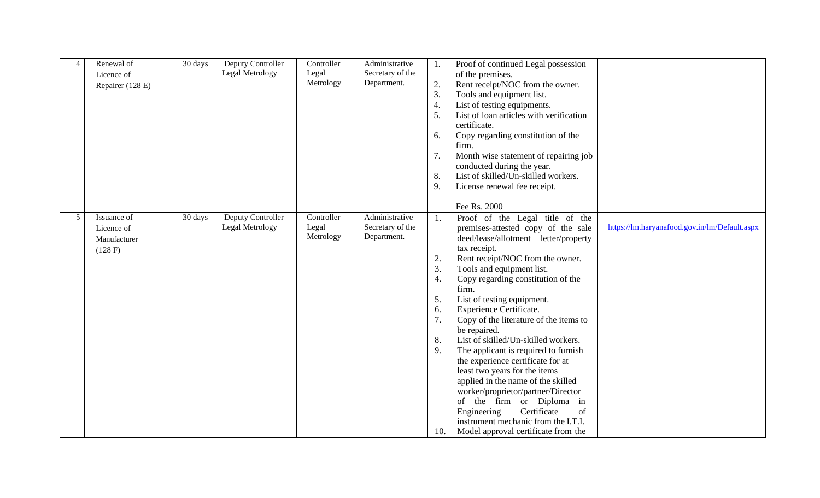| $\overline{4}$ | Renewal of<br>Licence of<br>Repairer (128 E)         | 30 days | Deputy Controller<br>Legal Metrology | Controller<br>Legal<br>Metrology | Administrative<br>Secretary of the<br>Department. | 1.<br>2.<br>3.<br>4.<br>5.<br>6.<br>7.<br>8.<br>9.        | Proof of continued Legal possession<br>of the premises.<br>Rent receipt/NOC from the owner.<br>Tools and equipment list.<br>List of testing equipments.<br>List of loan articles with verification<br>certificate.<br>Copy regarding constitution of the<br>firm.<br>Month wise statement of repairing job<br>conducted during the year.<br>List of skilled/Un-skilled workers.<br>License renewal fee receipt.<br>Fee Rs. 2000                                                                                                                                                                                                                                                                                                                  |                                               |
|----------------|------------------------------------------------------|---------|--------------------------------------|----------------------------------|---------------------------------------------------|-----------------------------------------------------------|--------------------------------------------------------------------------------------------------------------------------------------------------------------------------------------------------------------------------------------------------------------------------------------------------------------------------------------------------------------------------------------------------------------------------------------------------------------------------------------------------------------------------------------------------------------------------------------------------------------------------------------------------------------------------------------------------------------------------------------------------|-----------------------------------------------|
| $\mathfrak{S}$ | Issuance of<br>Licence of<br>Manufacturer<br>(128 F) | 30 days | Deputy Controller<br>Legal Metrology | Controller<br>Legal<br>Metrology | Administrative<br>Secretary of the<br>Department. | 1.<br>2.<br>3.<br>4.<br>5.<br>6.<br>7.<br>8.<br>9.<br>10. | Proof of the Legal title of the<br>premises-attested copy of the sale<br>deed/lease/allotment letter/property<br>tax receipt.<br>Rent receipt/NOC from the owner.<br>Tools and equipment list.<br>Copy regarding constitution of the<br>firm.<br>List of testing equipment.<br>Experience Certificate.<br>Copy of the literature of the items to<br>be repaired.<br>List of skilled/Un-skilled workers.<br>The applicant is required to furnish<br>the experience certificate for at<br>least two years for the items<br>applied in the name of the skilled<br>worker/proprietor/partner/Director<br>of the firm or Diploma in<br>Engineering<br>Certificate<br>of<br>instrument mechanic from the I.T.I.<br>Model approval certificate from the | https://lm.haryanafood.gov.in/lm/Default.aspx |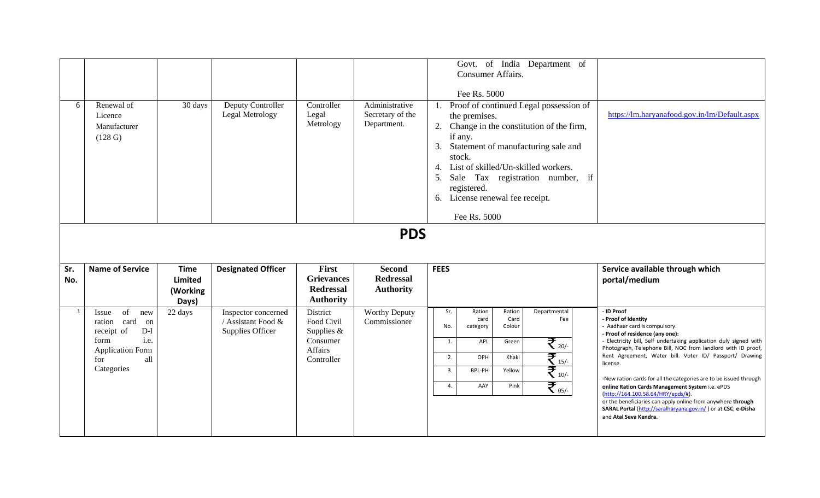| 6            | Renewal of<br>Licence<br>Manufacturer<br>(128 G)                                                                                                               | 30 days                            | Deputy Controller<br>Legal Metrology                          | Controller<br>Legal<br>Metrology                                            | Administrative<br>Secretary of the<br>Department.                   | Govt. of India Department of<br>Consumer Affairs.<br>Fee Rs. 5000<br>1. Proof of continued Legal possession of<br>the premises.<br>2. Change in the constitution of the firm,<br>if any.<br>Statement of manufacturing sale and<br>3.<br>stock.<br>4. List of skilled/Un-skilled workers.<br>5.<br>Sale Tax registration number, if<br>registered.<br>6. License renewal fee receipt.<br>Fee Rs. 5000 | https://lm.haryanafood.gov.in/lm/Default.aspx                                                                                                                                                                                                                                                                                                                                                                                                                                                                                                                                                                                            |
|--------------|----------------------------------------------------------------------------------------------------------------------------------------------------------------|------------------------------------|---------------------------------------------------------------|-----------------------------------------------------------------------------|---------------------------------------------------------------------|-------------------------------------------------------------------------------------------------------------------------------------------------------------------------------------------------------------------------------------------------------------------------------------------------------------------------------------------------------------------------------------------------------|------------------------------------------------------------------------------------------------------------------------------------------------------------------------------------------------------------------------------------------------------------------------------------------------------------------------------------------------------------------------------------------------------------------------------------------------------------------------------------------------------------------------------------------------------------------------------------------------------------------------------------------|
| Sr.<br>No.   | <b>Name of Service</b>                                                                                                                                         | <b>Time</b><br>Limited<br>(Working | <b>Designated Officer</b>                                     | First<br><b>Grievances</b><br><b>Redressal</b><br><b>Authority</b>          | <b>PDS</b><br><b>Second</b><br><b>Redressal</b><br><b>Authority</b> | <b>FEES</b>                                                                                                                                                                                                                                                                                                                                                                                           | Service available through which<br>portal/medium                                                                                                                                                                                                                                                                                                                                                                                                                                                                                                                                                                                         |
| $\mathbf{1}$ | of<br>Issue<br>new<br>ration card<br>on<br>receipt of<br>$\mathbf{D}\text{-}\mathbf{I}$<br>i.e.<br>form<br><b>Application Form</b><br>all<br>for<br>Categories | Days)<br>22 days                   | Inspector concerned<br>/ Assistant Food &<br>Supplies Officer | District<br>Food Civil<br>Supplies $&$<br>Consumer<br>Affairs<br>Controller | <b>Worthy Deputy</b><br>Commissioner                                | Sr.<br>Ration<br>Ration<br>Departmental<br>card<br>Card<br>Fee<br>Colour<br>No.<br>category<br>$\mathfrak{F}_{\tiny{20/-}}$<br>1.<br>APL<br>Green<br>$\mathbf{F}_{\scriptscriptstyle{15/-}}$<br>OPH<br>Khaki<br>2.<br>$\mathfrak{F}_{\scriptscriptstyle{10\prime}}$<br>BPL-PH<br>Yellow<br>3.<br>₹.<br>Pink<br>AAY<br>4.                                                                              | - ID Proof<br>- Proof of Identity<br>- Aadhaar card is compulsory.<br>- Proof of residence (any one):<br>- Electricity bill, Self undertaking application duly signed with<br>Photograph, Telephone Bill, NOC from landlord with ID proof,<br>Rent Agreement, Water bill. Voter ID/ Passport/ Drawing<br>license.<br>-New ration cards for all the categories are to be issued through<br>online Ration Cards Management System i.e. ePDS<br>(http://164.100.58.64/HRY/epds/#).<br>or the beneficiaries can apply online from anywhere through<br>SARAL Portal (http://saralharyana.gov.in/) or at CSC, e-Disha<br>and Atal Seva Kendra. |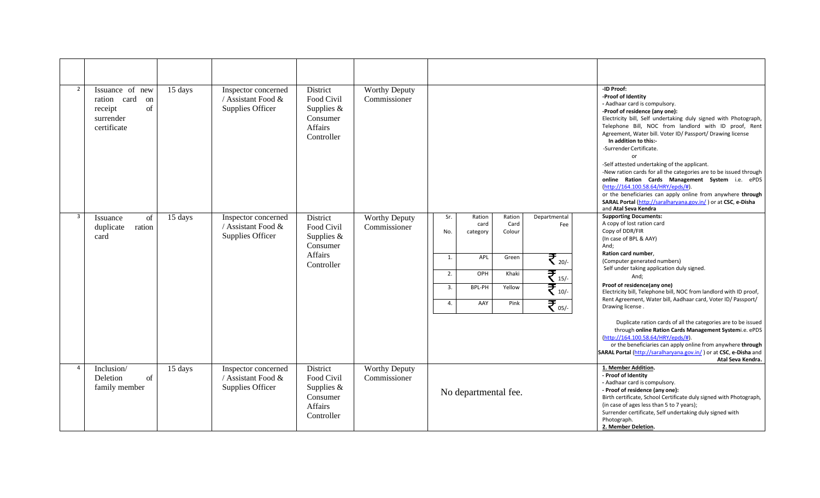| $\overline{2}$ | Issuance of new<br>ration card<br>on<br>of<br>receipt<br>surrender<br>certificate | 15 days | Inspector concerned<br>/ Assistant Food &<br>Supplies Officer | District<br>Food Civil<br>Supplies $&$<br>Consumer<br>Affairs<br>Controller        | <b>Worthy Deputy</b><br>Commissioner |                                                                                                                                                                                                                                                                       | -ID Proof:<br>-Proof of Identity<br>- Aadhaar card is compulsory.<br>-Proof of residence (any one):<br>Electricity bill, Self undertaking duly signed with Photograph,<br>Telephone Bill, NOC from landlord with ID proof, Rent<br>Agreement, Water bill. Voter ID/ Passport/ Drawing license<br>In addition to this:-<br>-Surrender Certificate.<br>or<br>-Self attested undertaking of the applicant.<br>-New ration cards for all the categories are to be issued through<br>online Ration Cards Management System i.e. ePDS<br>(http://164.100.58.64/HRY/epds/#).<br>or the beneficiaries can apply online from anywhere through<br>SARAL Portal (http://saralharyana.gov.in/) or at CSC, e-Disha<br>and Atal Seva Kendra                    |
|----------------|-----------------------------------------------------------------------------------|---------|---------------------------------------------------------------|------------------------------------------------------------------------------------|--------------------------------------|-----------------------------------------------------------------------------------------------------------------------------------------------------------------------------------------------------------------------------------------------------------------------|--------------------------------------------------------------------------------------------------------------------------------------------------------------------------------------------------------------------------------------------------------------------------------------------------------------------------------------------------------------------------------------------------------------------------------------------------------------------------------------------------------------------------------------------------------------------------------------------------------------------------------------------------------------------------------------------------------------------------------------------------|
| $\overline{3}$ | of<br>Issuance<br>duplicate<br>ration<br>card                                     | 15 days | Inspector concerned<br>/ Assistant Food &<br>Supplies Officer | District<br>Food Civil<br>Supplies $&$<br>Consumer<br><b>Affairs</b><br>Controller | <b>Worthy Deputy</b><br>Commissioner | Sr.<br>Ration<br>Ration<br>Departmental<br>Card<br>card<br>Fee<br>Colour<br>No.<br>category<br>₹ 20/-<br>APL<br>Green<br>1.<br>₹ 15/-<br>OPH<br>Khaki<br>2.<br>$\overline{\mathfrak{F}}_{_{10/-}}$<br>Yellow<br>3.<br>BPL-PH<br>₹ 05/-<br>AAY<br>Pink<br>$\mathbf{4}$ | <b>Supporting Documents:</b><br>A copy of lost ration card<br>Copy of DDR/FIR<br>(In case of BPL & AAY)<br>And;<br>Ration card number,<br>(Computer generated numbers)<br>Self under taking application duly signed.<br>And;<br>Proof of residence(any one)<br>Electricity bill, Telephone bill, NOC from landlord with ID proof,<br>Rent Agreement, Water bill, Aadhaar card, Voter ID/ Passport/<br>Drawing license.<br>Duplicate ration cards of all the categories are to be issued<br>through online Ration Cards Management Systemi.e. ePDS<br>(http://164.100.58.64/HRY/epds/#).<br>or the beneficiaries can apply online from anywhere through<br>SARAL Portal (http://saralharyana.gov.in/) or at CSC, e-Disha and<br>Atal Seva Kendra. |
| $\overline{4}$ | Inclusion/<br>Deletion<br>of<br>family member                                     | 15 days | Inspector concerned<br>/ Assistant Food &<br>Supplies Officer | District<br>Food Civil<br>Supplies $&$<br>Consumer<br>Affairs<br>Controller        | <b>Worthy Deputy</b><br>Commissioner | No departmental fee.                                                                                                                                                                                                                                                  | 1. Member Addition.<br>- Proof of Identity<br>- Aadhaar card is compulsory.<br>- Proof of residence (any one):<br>Birth certificate, School Certificate duly signed with Photograph,<br>(in case of ages less than 5 to 7 years);<br>Surrender certificate, Self undertaking duly signed with<br>Photograph.<br>2. Member Deletion.                                                                                                                                                                                                                                                                                                                                                                                                              |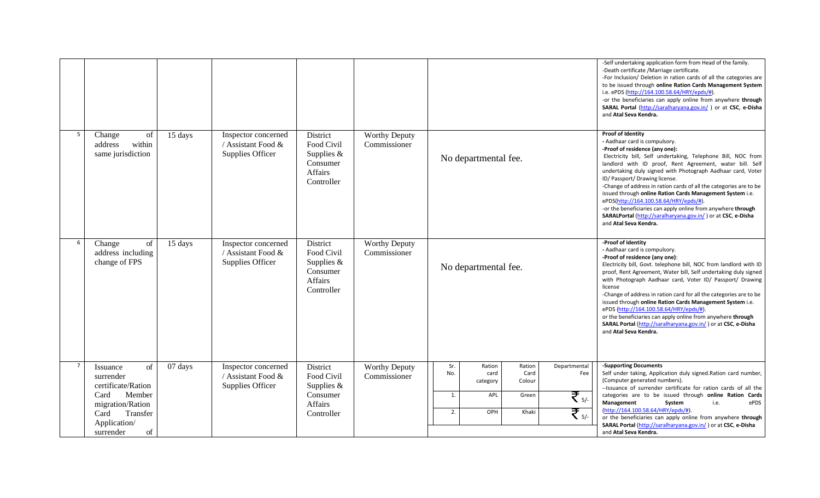|                |                                                                                                                                                |         |                                                               |                                                                             |                                      |                                                                                                                                                           | -Self undertaking application form from Head of the family.<br>-Death certificate /Marriage certificate.<br>-For Inclusion/ Deletion in ration cards of all the categories are<br>to be issued through online Ration Cards Management System<br>i.e. ePDS (http://164.100.58.64/HRY/epds/#).<br>-or the beneficiaries can apply online from anywhere through<br>SARAL Portal (http://saralharyana.gov.in/) or at CSC, e-Disha<br>and Atal Seva Kendra.                                                                                                                                                                                                  |
|----------------|------------------------------------------------------------------------------------------------------------------------------------------------|---------|---------------------------------------------------------------|-----------------------------------------------------------------------------|--------------------------------------|-----------------------------------------------------------------------------------------------------------------------------------------------------------|---------------------------------------------------------------------------------------------------------------------------------------------------------------------------------------------------------------------------------------------------------------------------------------------------------------------------------------------------------------------------------------------------------------------------------------------------------------------------------------------------------------------------------------------------------------------------------------------------------------------------------------------------------|
| 5              | Change<br>of<br>address<br>within<br>same jurisdiction                                                                                         | 15 days | Inspector concerned<br>/ Assistant Food &<br>Supplies Officer | District<br>Food Civil<br>Supplies $&$<br>Consumer<br>Affairs<br>Controller | <b>Worthy Deputy</b><br>Commissioner | No departmental fee.                                                                                                                                      | Proof of Identity<br>- Aadhaar card is compulsory.<br>-Proof of residence (any one):<br>Electricity bill, Self undertaking, Telephone Bill, NOC from<br>landlord with ID proof, Rent Agreement, water bill. Self<br>undertaking duly signed with Photograph Aadhaar card, Voter<br>ID/ Passport/ Drawing license.<br>-Change of address in ration cards of all the categories are to be<br>issued through online Ration Cards Management System i.e.<br>ePDS(http://164.100.58.64/HRY/epds/#).<br>-or the beneficiaries can apply online from anywhere through<br>SARALPortal (http://saralharyana.gov.in/) or at CSC, e-Disha<br>and Atal Seva Kendra. |
| 6              | of<br>Change<br>address including<br>change of FPS                                                                                             | 15 days | Inspector concerned<br>/ Assistant Food &<br>Supplies Officer | District<br>Food Civil<br>Supplies $&$<br>Consumer<br>Affairs<br>Controller | <b>Worthy Deputy</b><br>Commissioner | No departmental fee.                                                                                                                                      | -Proof of Identity<br>- Aadhaar card is compulsory.<br>-Proof of residence (any one):<br>Electricity bill, Govt. telephone bill, NOC from landlord with ID<br>proof, Rent Agreement, Water bill, Self undertaking duly signed<br>with Photograph Aadhaar card, Voter ID/ Passport/ Drawing<br>license<br>-Change of address in ration card for all the categories are to be<br>issued through online Ration Cards Management System i.e.<br>ePDS (http://164.100.58.64/HRY/epds/#)<br>or the beneficiaries can apply online from anywhere through<br>SARAL Portal (http://saralharyana.gov.in/) or at CSC, e-Disha<br>and Atal Seva Kendra.             |
| $\overline{7}$ | of<br>Issuance<br>surrender<br>certificate/Ration<br>Card<br>Member<br>migration/Ration<br>Transfer<br>Card<br>Application/<br>of<br>surrender | 07 days | Inspector concerned<br>/ Assistant Food &<br>Supplies Officer | District<br>Food Civil<br>Supplies $&$<br>Consumer<br>Affairs<br>Controller | <b>Worthy Deputy</b><br>Commissioner | Sr.<br>Ration<br>Ration<br>Departmental<br>No.<br>Card<br>card<br>Fee<br>Colour<br>category<br>₹ 5/-<br>1.<br>APL<br>Green<br>₹ 5/-<br>OPH<br>Khaki<br>2. | -Supporting Documents<br>Self under taking, Application duly signed. Ration card number,<br>(Computer generated numbers).<br>--Issuance of surrender certificate for ration cards of all the<br>categories are to be issued through online Ration Cards<br>Management<br>System<br>i.e.<br>ePDS<br>(http://164.100.58.64/HRY/epds/#).<br>or the beneficiaries can apply online from anywhere through<br>SARAL Portal (http://saralharyana.gov.in/) or at CSC, e-Disha<br>and Atal Seva Kendra.                                                                                                                                                          |